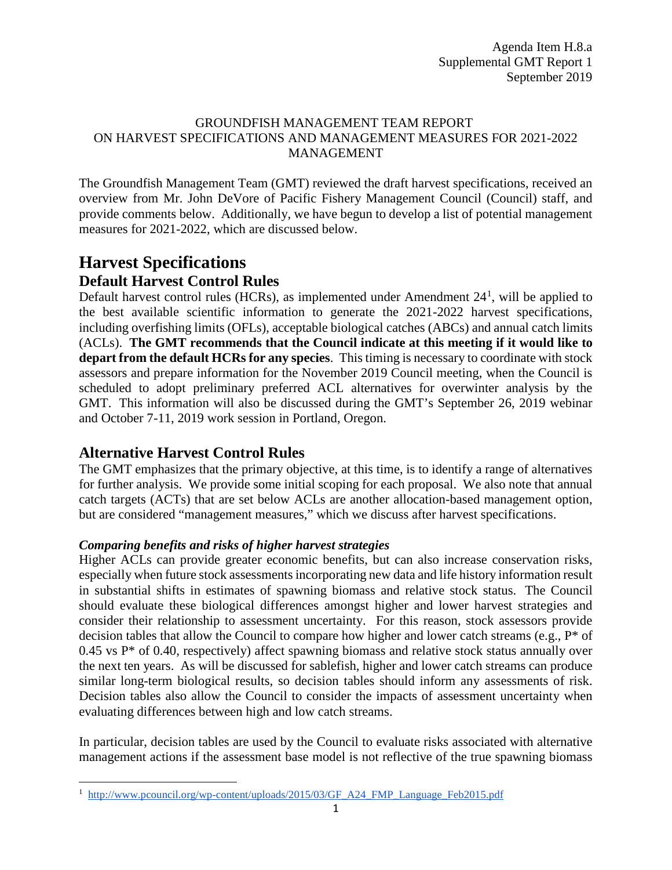#### GROUNDFISH MANAGEMENT TEAM REPORT ON HARVEST SPECIFICATIONS AND MANAGEMENT MEASURES FOR 2021-2022 MANAGEMENT

The Groundfish Management Team (GMT) reviewed the draft harvest specifications, received an overview from Mr. John DeVore of Pacific Fishery Management Council (Council) staff, and provide comments below. Additionally, we have begun to develop a list of potential management measures for 2021-2022, which are discussed below.

# **Harvest Specifications Default Harvest Control Rules**

Default harvest control rules (HCRs), as implemented under Amendment 24<sup>[1](#page-0-0)</sup>, will be applied to the best available scientific information to generate the 2021-2022 harvest specifications, including overfishing limits (OFLs), acceptable biological catches (ABCs) and annual catch limits (ACLs). **The GMT recommends that the Council indicate at this meeting if it would like to depart from the default HCRs for any species**. This timing is necessary to coordinate with stock assessors and prepare information for the November 2019 Council meeting, when the Council is scheduled to adopt preliminary preferred ACL alternatives for overwinter analysis by the GMT. This information will also be discussed during the GMT's September 26, 2019 webinar and October 7-11, 2019 work session in Portland, Oregon.

# **Alternative Harvest Control Rules**

The GMT emphasizes that the primary objective, at this time, is to identify a range of alternatives for further analysis. We provide some initial scoping for each proposal. We also note that annual catch targets (ACTs) that are set below ACLs are another allocation-based management option, but are considered "management measures," which we discuss after harvest specifications.

### *Comparing benefits and risks of higher harvest strategies*

Higher ACLs can provide greater economic benefits, but can also increase conservation risks, especially when future stock assessments incorporating new data and life history information result in substantial shifts in estimates of spawning biomass and relative stock status. The Council should evaluate these biological differences amongst higher and lower harvest strategies and consider their relationship to assessment uncertainty. For this reason, stock assessors provide decision tables that allow the Council to compare how higher and lower catch streams (e.g., P\* of  $0.45$  vs P<sup>\*</sup> of 0.40, respectively) affect spawning biomass and relative stock status annually over the next ten years. As will be discussed for sablefish, higher and lower catch streams can produce similar long-term biological results, so decision tables should inform any assessments of risk. Decision tables also allow the Council to consider the impacts of assessment uncertainty when evaluating differences between high and low catch streams.

In particular, decision tables are used by the Council to evaluate risks associated with alternative management actions if the assessment base model is not reflective of the true spawning biomass

<span id="page-0-0"></span>l <sup>1</sup> [http://www.pcouncil.org/wp-content/uploads/2015/03/GF\\_A24\\_FMP\\_Language\\_Feb2015.pdf](http://www.pcouncil.org/wp-content/uploads/2015/03/GF_A24_FMP_Language_Feb2015.pdf)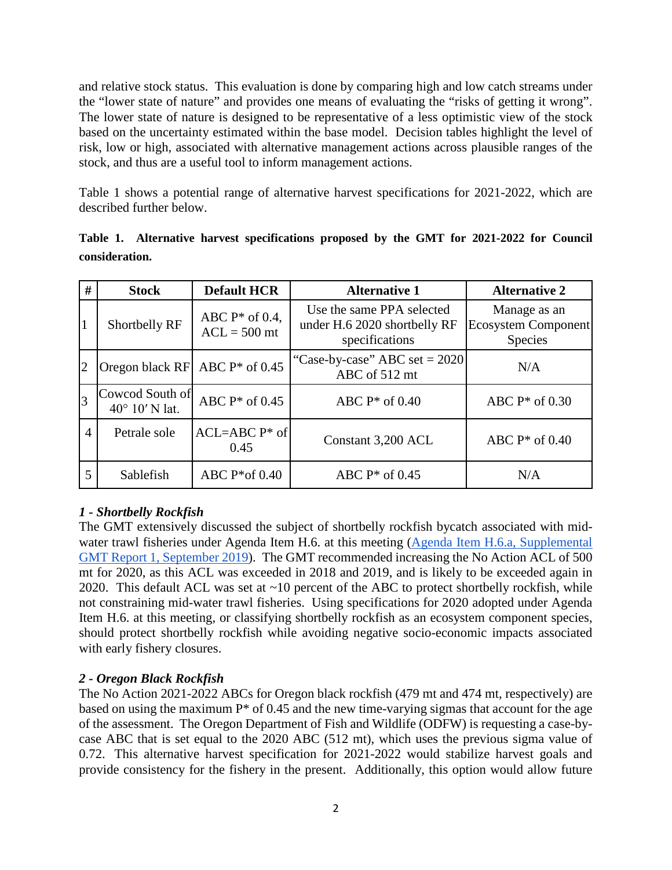and relative stock status. This evaluation is done by comparing high and low catch streams under the "lower state of nature" and provides one means of evaluating the "risks of getting it wrong". The lower state of nature is designed to be representative of a less optimistic view of the stock based on the uncertainty estimated within the base model. Decision tables highlight the level of risk, low or high, associated with alternative management actions across plausible ranges of the stock, and thus are a useful tool to inform management actions.

[Table 1](#page-1-0) shows a potential range of alternative harvest specifications for 2021-2022, which are described further below.

| #              | <b>Stock</b>                               | <b>Default HCR</b>                  | <b>Alternative 1</b>                                                        | <b>Alternative 2</b>                                         |
|----------------|--------------------------------------------|-------------------------------------|-----------------------------------------------------------------------------|--------------------------------------------------------------|
|                | Shortbelly RF                              | ABC $P^*$ of 0.4,<br>$ACL = 500$ mt | Use the same PPA selected<br>under H.6 2020 shortbelly RF<br>specifications | Manage as an<br><b>Ecosystem Component</b><br><b>Species</b> |
| $\overline{2}$ | Oregon black $RF$ ABC $P^*$ of 0.45        |                                     | "Case-by-case" ABC set $= 2020$<br>ABC of 512 mt                            | N/A                                                          |
|                | Cowcod South of<br>$40^{\circ}$ 10' N lat. | ABC $P^*$ of 0.45                   | ABC $P^*$ of 0.40                                                           | ABC $P^*$ of 0.30                                            |
| $\overline{4}$ | Petrale sole                               | $ACL=ABC P^*$ of<br>0.45            | Constant 3,200 ACL                                                          | ABC $P^*$ of 0.40                                            |
| 5              | Sablefish                                  | ABC $P*$ of 0.40                    | ABC $P^*$ of 0.45                                                           | N/A                                                          |

<span id="page-1-0"></span>**Table 1. Alternative harvest specifications proposed by the GMT for 2021-2022 for Council consideration.** 

# *1 - Shortbelly Rockfish*

The GMT extensively discussed the subject of shortbelly rockfish bycatch associated with midwater trawl fisheries under Agenda Item H.6. at this meeting [\(Agenda Item H.6.a, Supplemental](https://www.pcouncil.org/wp-content/uploads/2019/09/H6a_Sup_GMT_Rpt1_SEPT2019BB.pdf)  [GMT Report 1, September 2019\)](https://www.pcouncil.org/wp-content/uploads/2019/09/H6a_Sup_GMT_Rpt1_SEPT2019BB.pdf). The GMT recommended increasing the No Action ACL of 500 mt for 2020, as this ACL was exceeded in 2018 and 2019, and is likely to be exceeded again in 2020. This default ACL was set at ~10 percent of the ABC to protect shortbelly rockfish, while not constraining mid-water trawl fisheries. Using specifications for 2020 adopted under Agenda Item H.6. at this meeting, or classifying shortbelly rockfish as an ecosystem component species, should protect shortbelly rockfish while avoiding negative socio-economic impacts associated with early fishery closures.

### *2 - Oregon Black Rockfish*

The No Action 2021-2022 ABCs for Oregon black rockfish (479 mt and 474 mt, respectively) are based on using the maximum  $P^*$  of 0.45 and the new time-varying sigmas that account for the age of the assessment. The Oregon Department of Fish and Wildlife (ODFW) is requesting a case-bycase ABC that is set equal to the 2020 ABC (512 mt), which uses the previous sigma value of 0.72. This alternative harvest specification for 2021-2022 would stabilize harvest goals and provide consistency for the fishery in the present. Additionally, this option would allow future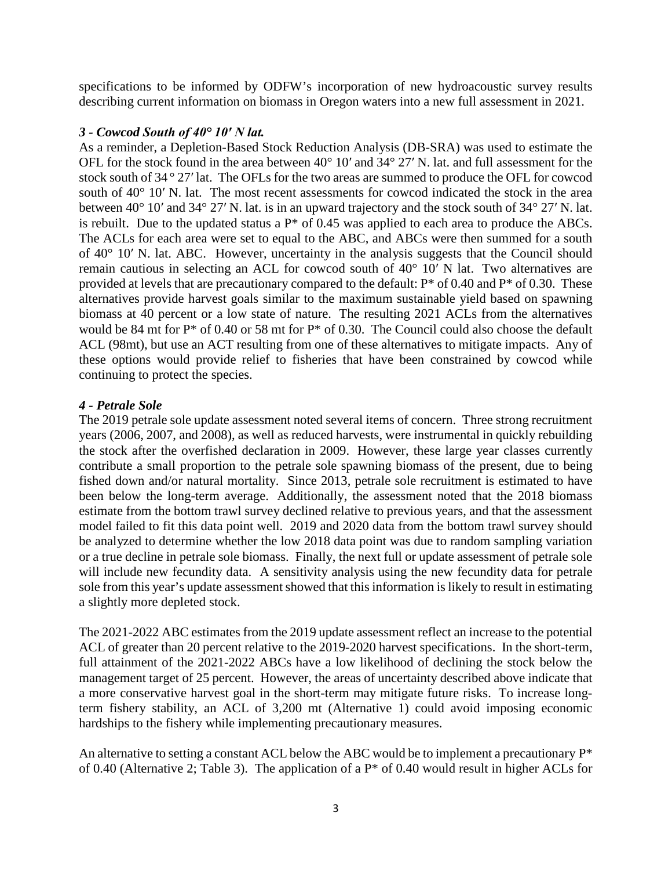specifications to be informed by ODFW's incorporation of new hydroacoustic survey results describing current information on biomass in Oregon waters into a new full assessment in 2021.

#### *3 - Cowcod South of 40° 10′ N lat.*

As a reminder, a Depletion-Based Stock Reduction Analysis (DB-SRA) was used to estimate the OFL for the stock found in the area between 40° 10′ and 34° 27′ N. lat. and full assessment for the stock south of 34 ° 27′ lat. The OFLs for the two areas are summed to produce the OFL for cowcod south of 40° 10′ N. lat. The most recent assessments for cowcod indicated the stock in the area between 40° 10′ and 34° 27′ N. lat. is in an upward trajectory and the stock south of 34° 27′ N. lat. is rebuilt. Due to the updated status a  $P^*$  of 0.45 was applied to each area to produce the ABCs. The ACLs for each area were set to equal to the ABC, and ABCs were then summed for a south of 40° 10′ N. lat. ABC. However, uncertainty in the analysis suggests that the Council should remain cautious in selecting an ACL for cowcod south of 40° 10′ N lat. Two alternatives are provided at levels that are precautionary compared to the default: P\* of 0.40 and P\* of 0.30. These alternatives provide harvest goals similar to the maximum sustainable yield based on spawning biomass at 40 percent or a low state of nature. The resulting 2021 ACLs from the alternatives would be 84 mt for P\* of 0.40 or 58 mt for P\* of 0.30. The Council could also choose the default ACL (98mt), but use an ACT resulting from one of these alternatives to mitigate impacts. Any of these options would provide relief to fisheries that have been constrained by cowcod while continuing to protect the species.

#### *4 - Petrale Sole*

The 2019 petrale sole update assessment noted several items of concern. Three strong recruitment years (2006, 2007, and 2008), as well as reduced harvests, were instrumental in quickly rebuilding the stock after the overfished declaration in 2009. However, these large year classes currently contribute a small proportion to the petrale sole spawning biomass of the present, due to being fished down and/or natural mortality. Since 2013, petrale sole recruitment is estimated to have been below the long-term average. Additionally, the assessment noted that the 2018 biomass estimate from the bottom trawl survey declined relative to previous years, and that the assessment model failed to fit this data point well. 2019 and 2020 data from the bottom trawl survey should be analyzed to determine whether the low 2018 data point was due to random sampling variation or a true decline in petrale sole biomass. Finally, the next full or update assessment of petrale sole will include new fecundity data. A sensitivity analysis using the new fecundity data for petrale sole from this year's update assessment showed that this information is likely to result in estimating a slightly more depleted stock.

The 2021-2022 ABC estimates from the 2019 update assessment reflect an increase to the potential ACL of greater than 20 percent relative to the 2019-2020 harvest specifications. In the short-term, full attainment of the 2021-2022 ABCs have a low likelihood of declining the stock below the management target of 25 percent. However, the areas of uncertainty described above indicate that a more conservative harvest goal in the short-term may mitigate future risks. To increase longterm fishery stability, an ACL of 3,200 mt (Alternative 1) could avoid imposing economic hardships to the fishery while implementing precautionary measures.

An alternative to setting a constant ACL below the ABC would be to implement a precautionary P\* of 0.40 (Alternative 2; [Table 3\)](#page-4-0). The application of a P\* of 0.40 would result in higher ACLs for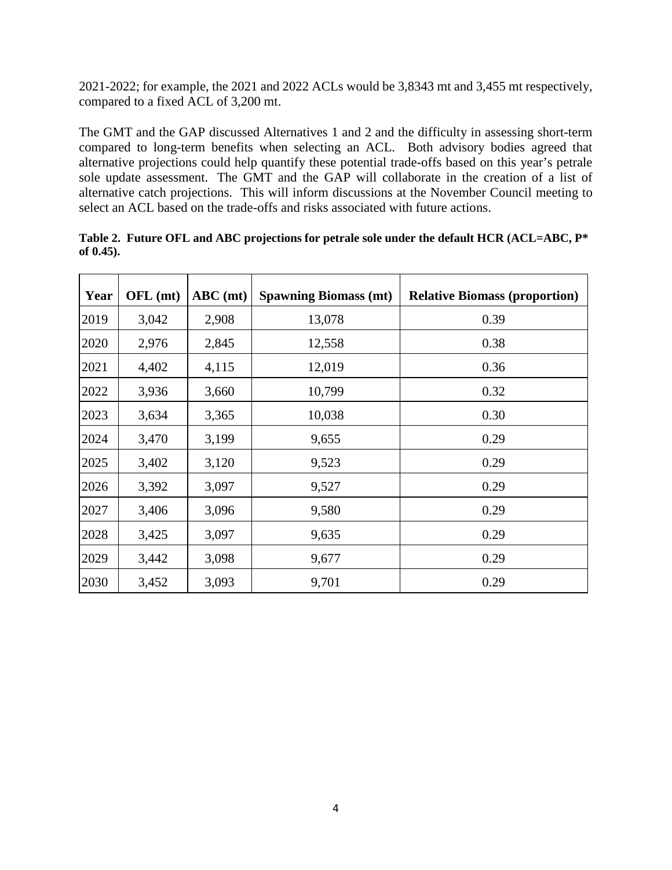2021-2022; for example, the 2021 and 2022 ACLs would be 3,8343 mt and 3,455 mt respectively, compared to a fixed ACL of 3,200 mt.

The GMT and the GAP discussed Alternatives 1 and 2 and the difficulty in assessing short-term compared to long-term benefits when selecting an ACL. Both advisory bodies agreed that alternative projections could help quantify these potential trade-offs based on this year's petrale sole update assessment. The GMT and the GAP will collaborate in the creation of a list of alternative catch projections. This will inform discussions at the November Council meeting to select an ACL based on the trade-offs and risks associated with future actions.

| Year | OFL (mt) | $ABC$ (mt) | <b>Spawning Biomass (mt)</b> | <b>Relative Biomass (proportion)</b> |
|------|----------|------------|------------------------------|--------------------------------------|
| 2019 | 3,042    | 2,908      | 13,078                       | 0.39                                 |
| 2020 | 2,976    | 2,845      | 12,558                       | 0.38                                 |
| 2021 | 4,402    | 4,115      | 12,019                       | 0.36                                 |
| 2022 | 3,936    | 3,660      | 10,799                       | 0.32                                 |
| 2023 | 3,634    | 3,365      | 10,038                       | 0.30                                 |
| 2024 | 3,470    | 3,199      | 9,655                        | 0.29                                 |
| 2025 | 3,402    | 3,120      | 9,523                        | 0.29                                 |
| 2026 | 3,392    | 3,097      | 9,527                        | 0.29                                 |
| 2027 | 3,406    | 3,096      | 9,580                        | 0.29                                 |
| 2028 | 3,425    | 3,097      | 9,635                        | 0.29                                 |
| 2029 | 3,442    | 3,098      | 9,677                        | 0.29                                 |
| 2030 | 3,452    | 3,093      | 9,701                        | 0.29                                 |

**Table 2. Future OFL and ABC projections for petrale sole under the default HCR (ACL=ABC, P\* of 0.45).**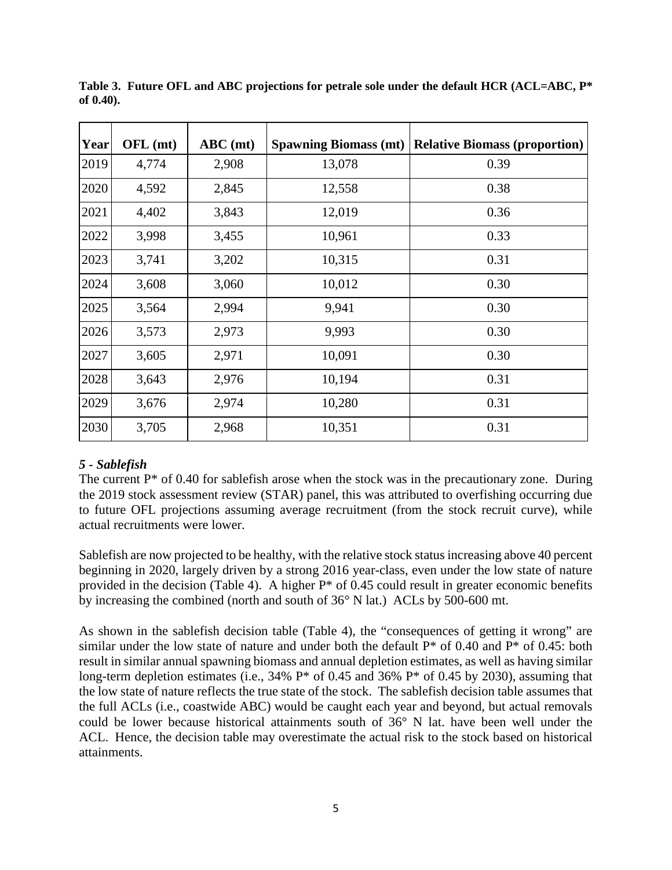| Year | OFL (mt) | $ABC$ (mt) | <b>Spawning Biomass (mt)</b> | <b>Relative Biomass (proportion)</b> |
|------|----------|------------|------------------------------|--------------------------------------|
| 2019 | 4,774    | 2,908      | 13,078                       | 0.39                                 |
| 2020 | 4,592    | 2,845      | 12,558                       | 0.38                                 |
| 2021 | 4,402    | 3,843      | 12,019                       | 0.36                                 |
| 2022 | 3,998    | 3,455      | 10,961                       | 0.33                                 |
| 2023 | 3,741    | 3,202      | 10,315                       | 0.31                                 |
| 2024 | 3,608    | 3,060      | 10,012                       | 0.30                                 |
| 2025 | 3,564    | 2,994      | 9,941                        | 0.30                                 |
| 2026 | 3,573    | 2,973      | 9,993                        | 0.30                                 |
| 2027 | 3,605    | 2,971      | 10,091                       | 0.30                                 |
| 2028 | 3,643    | 2,976      | 10,194                       | 0.31                                 |
| 2029 | 3,676    | 2,974      | 10,280                       | 0.31                                 |
| 2030 | 3,705    | 2,968      | 10,351                       | 0.31                                 |

<span id="page-4-0"></span>**Table 3. Future OFL and ABC projections for petrale sole under the default HCR (ACL=ABC, P\* of 0.40).** 

#### *5 - Sablefish*

The current  $P^*$  of 0.40 for sablefish arose when the stock was in the precautionary zone. During the 2019 stock assessment review (STAR) panel, this was attributed to overfishing occurring due to future OFL projections assuming average recruitment (from the stock recruit curve), while actual recruitments were lower.

Sablefish are now projected to be healthy, with the relative stock status increasing above 40 percent beginning in 2020, largely driven by a strong 2016 year-class, even under the low state of nature provided in the decision [\(Table 4\)](#page-5-0). A higher  $P^*$  of 0.45 could result in greater economic benefits by increasing the combined (north and south of 36° N lat.) ACLs by 500-600 mt.

As shown in the sablefish decision table [\(Table 4\)](#page-5-0), the "consequences of getting it wrong" are similar under the low state of nature and under both the default  $P^*$  of 0.40 and  $P^*$  of 0.45: both result in similar annual spawning biomass and annual depletion estimates, as well as having similar long-term depletion estimates (i.e., 34% P\* of 0.45 and 36% P\* of 0.45 by 2030), assuming that the low state of nature reflects the true state of the stock. The sablefish decision table assumes that the full ACLs (i.e., coastwide ABC) would be caught each year and beyond, but actual removals could be lower because historical attainments south of 36° N lat. have been well under the ACL. Hence, the decision table may overestimate the actual risk to the stock based on historical attainments.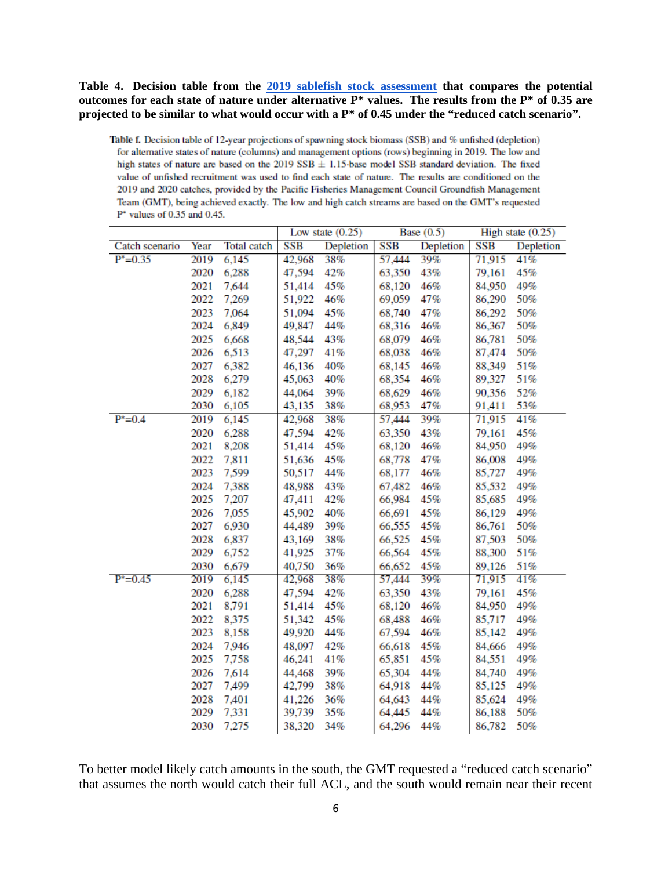<span id="page-5-0"></span>**Table 4. Decision table from the [2019 sablefish stock assessment](https://www.pcouncil.org/wp-content/uploads/2019/08/H5_Att7_Sablefish_Full_E-Only_SEPT2019BB.pdf) that compares the potential outcomes for each state of nature under alternative P\* values. The results from the P\* of 0.35 are projected to be similar to what would occur with a P\* of 0.45 under the "reduced catch scenario".**

Table f. Decision table of 12-year projections of spawning stock biomass (SSB) and % unfished (depletion) for alternative states of nature (columns) and management options (rows) beginning in 2019. The low and high states of nature are based on the 2019 SSB  $\pm$  1.15 base model SSB standard deviation. The fixed value of unfished recruitment was used to find each state of nature. The results are conditioned on the 2019 and 2020 catches, provided by the Pacific Fisheries Management Council Groundfish Management Team (GMT), being achieved exactly. The low and high catch streams are based on the GMT's requested  $P^*$  values of 0.35 and 0.45.

|                |      |             |            | Low state $(0.25)$ |            | Base $(0.5)$ |            | High state $(0.25)$ |
|----------------|------|-------------|------------|--------------------|------------|--------------|------------|---------------------|
| Catch scenario | Year | Total catch | <b>SSB</b> | Depletion          | <b>SSB</b> | Depletion    | <b>SSB</b> | Depletion           |
| $P^* = 0.35$   | 2019 | 6,145       | 42,968     | 38%                | 57,444     | 39%          | 71,915     | 41%                 |
|                | 2020 | 6,288       | 47,594     | 42%                | 63,350     | 43%          | 79,161     | 45%                 |
|                | 2021 | 7,644       | 51,414     | 45%                | 68,120     | 46%          | 84,950     | 49%                 |
|                | 2022 | 7,269       | 51,922     | 46%                | 69,059     | 47%          | 86,290     | 50%                 |
|                | 2023 | 7,064       | 51,094     | 45%                | 68,740     | 47%          | 86,292     | 50%                 |
|                | 2024 | 6,849       | 49,847     | 44%                | 68,316     | 46%          | 86,367     | 50%                 |
|                | 2025 | 6,668       | 48,544     | 43%                | 68,079     | 46%          | 86,781     | 50%                 |
|                | 2026 | 6,513       | 47,297     | 41%                | 68,038     | 46%          | 87,474     | 50%                 |
|                | 2027 | 6,382       | 46,136     | 40%                | 68,145     | 46%          | 88,349     | 51%                 |
|                | 2028 | 6,279       | 45,063     | 40%                | 68,354     | 46%          | 89,327     | 51%                 |
|                | 2029 | 6,182       | 44,064     | 39%                | 68,629     | 46%          | 90,356     | 52%                 |
|                | 2030 | 6,105       | 43,135     | 38%                | 68,953     | 47%          | 91,411     | 53%                 |
| $P^* = 0.4$    | 2019 | 6,145       | 42,968     | 38%                | 57,444     | 39%          | 71,915     | 41%                 |
|                | 2020 | 6,288       | 47,594     | 42%                | 63,350     | 43%          | 79,161     | 45%                 |
|                | 2021 | 8,208       | 51,414     | 45%                | 68,120     | 46%          | 84,950     | 49%                 |
|                | 2022 | 7,811       | 51,636     | 45%                | 68,778     | 47%          | 86,008     | 49%                 |
|                | 2023 | 7,599       | 50,517     | 44%                | 68,177     | 46%          | 85,727     | 49%                 |
|                | 2024 | 7,388       | 48,988     | 43%                | 67,482     | 46%          | 85,532     | 49%                 |
|                | 2025 | 7,207       | 47,411     | 42%                | 66,984     | 45%          | 85,685     | 49%                 |
|                | 2026 | 7,055       | 45,902     | 40%                | 66,691     | 45%          | 86,129     | 49%                 |
|                | 2027 | 6,930       | 44,489     | 39%                | 66,555     | 45%          | 86,761     | 50%                 |
|                | 2028 | 6,837       | 43,169     | 38%                | 66,525     | 45%          | 87,503     | 50%                 |
|                | 2029 | 6,752       | 41,925     | 37%                | 66,564     | 45%          | 88,300     | 51%                 |
|                | 2030 | 6,679       | 40,750     | 36%                | 66,652     | 45%          | 89,126     | 51%                 |
| $P^* = 0.45$   | 2019 | 6,145       | 42,968     | 38%                | 57,444     | 39%          | 71,915     | 41%                 |
|                | 2020 | 6,288       | 47,594     | 42%                | 63,350     | 43%          | 79,161     | 45%                 |
|                | 2021 | 8,791       | 51,414     | 45%                | 68,120     | 46%          | 84,950     | 49%                 |
|                | 2022 | 8,375       | 51,342     | 45%                | 68,488     | 46%          | 85,717     | 49%                 |
|                | 2023 | 8,158       | 49,920     | 44%                | 67,594     | 46%          | 85,142     | 49%                 |
|                | 2024 | 7,946       | 48,097     | 42%                | 66,618     | 45%          | 84,666     | 49%                 |
|                | 2025 | 7,758       | 46,241     | 41%                | 65,851     | 45%          | 84,551     | 49%                 |
|                | 2026 | 7,614       | 44,468     | 39%                | 65,304     | 44%          | 84,740     | 49%                 |
|                | 2027 | 7,499       | 42,799     | 38%                | 64,918     | 44%          | 85,125     | 49%                 |
|                | 2028 | 7,401       | 41,226     | 36%                | 64,643     | 44%          | 85,624     | 49%                 |
|                | 2029 | 7,331       | 39,739     | 35%                | 64,445     | 44%          | 86,188     | 50%                 |
|                | 2030 | 7,275       | 38,320     | 34%                | 64,296     | 44%          | 86,782     | 50%                 |

To better model likely catch amounts in the south, the GMT requested a "reduced catch scenario" that assumes the north would catch their full ACL, and the south would remain near their recent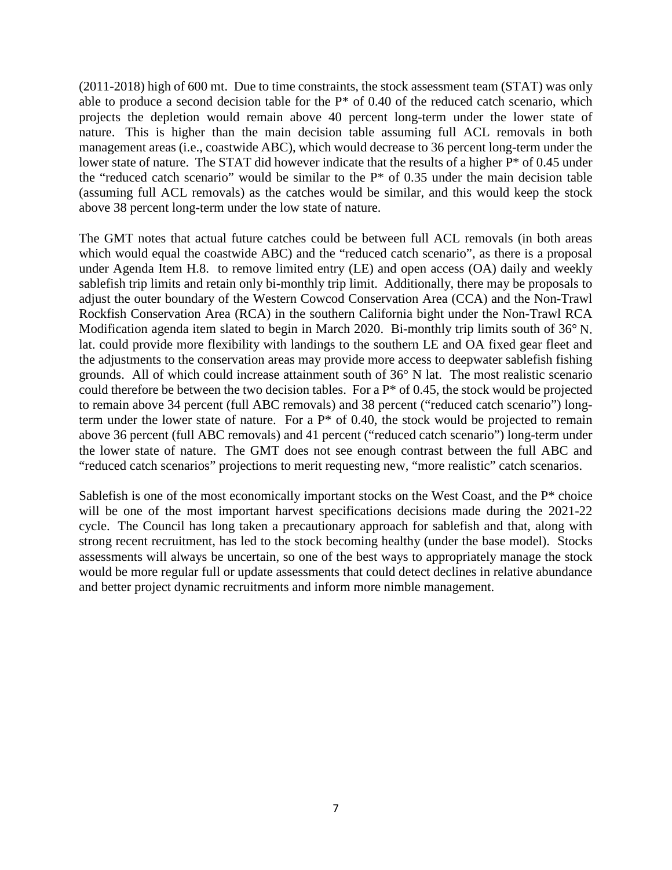(2011-2018) high of 600 mt. Due to time constraints, the stock assessment team (STAT) was only able to produce a second decision table for the P\* of 0.40 of the reduced catch scenario, which projects the depletion would remain above 40 percent long-term under the lower state of nature. This is higher than the main decision table assuming full ACL removals in both management areas (i.e., coastwide ABC), which would decrease to 36 percent long-term under the lower state of nature. The STAT did however indicate that the results of a higher P\* of 0.45 under the "reduced catch scenario" would be similar to the P\* of 0.35 under the main decision table (assuming full ACL removals) as the catches would be similar, and this would keep the stock above 38 percent long-term under the low state of nature.

The GMT notes that actual future catches could be between full ACL removals (in both areas which would equal the coastwide ABC) and the "reduced catch scenario", as there is a proposal under Agenda Item H.8. to remove limited entry (LE) and open access (OA) daily and weekly sablefish trip limits and retain only bi-monthly trip limit. Additionally, there may be proposals to adjust the outer boundary of the Western Cowcod Conservation Area (CCA) and the Non-Trawl Rockfish Conservation Area (RCA) in the southern California bight under the Non-Trawl RCA Modification agenda item slated to begin in March 2020. Bi-monthly trip limits south of 36° N. lat. could provide more flexibility with landings to the southern LE and OA fixed gear fleet and the adjustments to the conservation areas may provide more access to deepwater sablefish fishing grounds. All of which could increase attainment south of 36° N lat. The most realistic scenario could therefore be between the two decision tables. For a  $P^*$  of 0.45, the stock would be projected to remain above 34 percent (full ABC removals) and 38 percent ("reduced catch scenario") longterm under the lower state of nature. For a  $P^*$  of 0.40, the stock would be projected to remain above 36 percent (full ABC removals) and 41 percent ("reduced catch scenario") long-term under the lower state of nature. The GMT does not see enough contrast between the full ABC and "reduced catch scenarios" projections to merit requesting new, "more realistic" catch scenarios.

Sablefish is one of the most economically important stocks on the West Coast, and the P\* choice will be one of the most important harvest specifications decisions made during the 2021-22 cycle. The Council has long taken a precautionary approach for sablefish and that, along with strong recent recruitment, has led to the stock becoming healthy (under the base model). Stocks assessments will always be uncertain, so one of the best ways to appropriately manage the stock would be more regular full or update assessments that could detect declines in relative abundance and better project dynamic recruitments and inform more nimble management.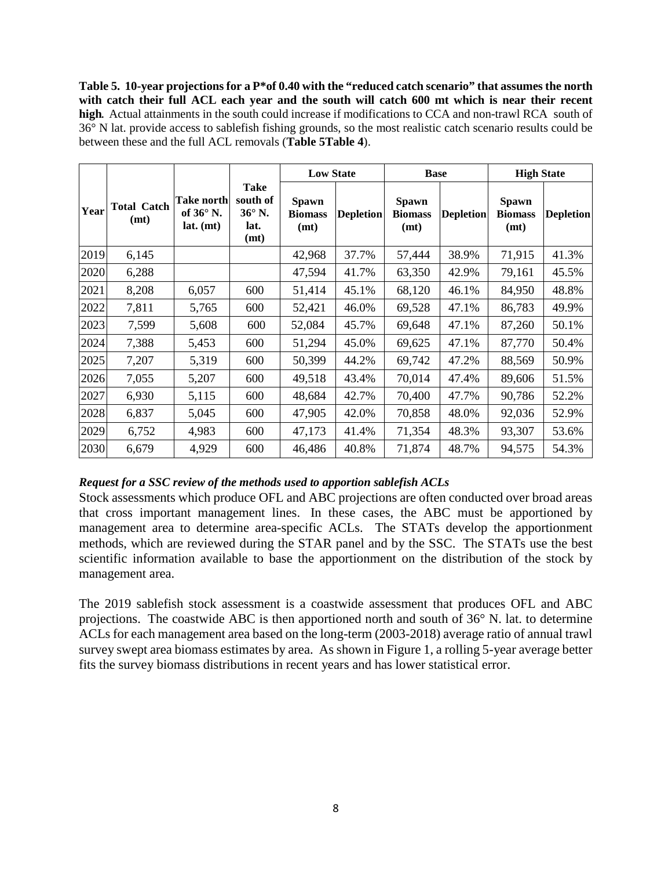<span id="page-7-0"></span>**Table 5. 10-year projections for a P\*of 0.40 with the "reduced catch scenario" that assumes the north with catch their full ACL each year and the south will catch 600 mt which is near their recent high***.* Actual attainments in the south could increase if modifications to CCA and non-trawl RCA south of 36° N lat. provide access to sablefish fishing grounds, so the most realistic catch scenario results could be between these and the full ACL removals (**[Table 5](#page-7-0)[Table 4](#page-5-0)**).

|      |                            |                                                 |                                                   | <b>Low State</b>                       |                  | <b>Base</b>                     |                  | <b>High State</b>                      |                  |
|------|----------------------------|-------------------------------------------------|---------------------------------------------------|----------------------------------------|------------------|---------------------------------|------------------|----------------------------------------|------------------|
| Year | <b>Total Catch</b><br>(mt) | Take north<br>of $36^{\circ}$ N.<br>$lat.$ (mt) | Take<br>south of<br>$36^\circ$ N.<br>lat.<br>(mt) | <b>Spawn</b><br><b>Biomass</b><br>(mt) | <b>Depletion</b> | Spawn<br><b>Biomass</b><br>(mt) | <b>Depletion</b> | <b>Spawn</b><br><b>Biomass</b><br>(mt) | <b>Depletion</b> |
| 2019 | 6,145                      |                                                 |                                                   | 42,968                                 | 37.7%            | 57,444                          | 38.9%            | 71,915                                 | 41.3%            |
| 2020 | 6,288                      |                                                 |                                                   | 47,594                                 | 41.7%            | 63,350                          | 42.9%            | 79,161                                 | 45.5%            |
| 2021 | 8,208                      | 6,057                                           | 600                                               | 51,414                                 | 45.1%            | 68,120                          | 46.1%            | 84,950                                 | 48.8%            |
| 2022 | 7,811                      | 5,765                                           | 600                                               | 52,421                                 | 46.0%            | 69,528                          | 47.1%            | 86,783                                 | 49.9%            |
| 2023 | 7,599                      | 5,608                                           | 600                                               | 52,084                                 | 45.7%            | 69,648                          | 47.1%            | 87,260                                 | 50.1%            |
| 2024 | 7,388                      | 5,453                                           | 600                                               | 51,294                                 | 45.0%            | 69,625                          | 47.1%            | 87,770                                 | 50.4%            |
| 2025 | 7,207                      | 5,319                                           | 600                                               | 50,399                                 | 44.2%            | 69,742                          | 47.2%            | 88,569                                 | 50.9%            |
| 2026 | 7,055                      | 5,207                                           | 600                                               | 49,518                                 | 43.4%            | 70,014                          | 47.4%            | 89,606                                 | 51.5%            |
| 2027 | 6,930                      | 5,115                                           | 600                                               | 48,684                                 | 42.7%            | 70,400                          | 47.7%            | 90,786                                 | 52.2%            |
| 2028 | 6,837                      | 5,045                                           | 600                                               | 47,905                                 | 42.0%            | 70,858                          | 48.0%            | 92,036                                 | 52.9%            |
| 2029 | 6,752                      | 4,983                                           | 600                                               | 47,173                                 | 41.4%            | 71,354                          | 48.3%            | 93,307                                 | 53.6%            |
| 2030 | 6,679                      | 4,929                                           | 600                                               | 46,486                                 | 40.8%            | 71,874                          | 48.7%            | 94,575                                 | 54.3%            |

#### *Request for a SSC review of the methods used to apportion sablefish ACLs*

Stock assessments which produce OFL and ABC projections are often conducted over broad areas that cross important management lines. In these cases, the ABC must be apportioned by management area to determine area-specific ACLs. The STATs develop the apportionment methods, which are reviewed during the STAR panel and by the SSC. The STATs use the best scientific information available to base the apportionment on the distribution of the stock by management area.

The 2019 sablefish stock assessment is a coastwide assessment that produces OFL and ABC projections. The coastwide ABC is then apportioned north and south of 36° N. lat. to determine ACLs for each management area based on the long-term (2003-2018) average ratio of annual trawl survey swept area biomass estimates by area. As shown in [Figure 1,](#page-8-0) a rolling 5-year average better fits the survey biomass distributions in recent years and has lower statistical error.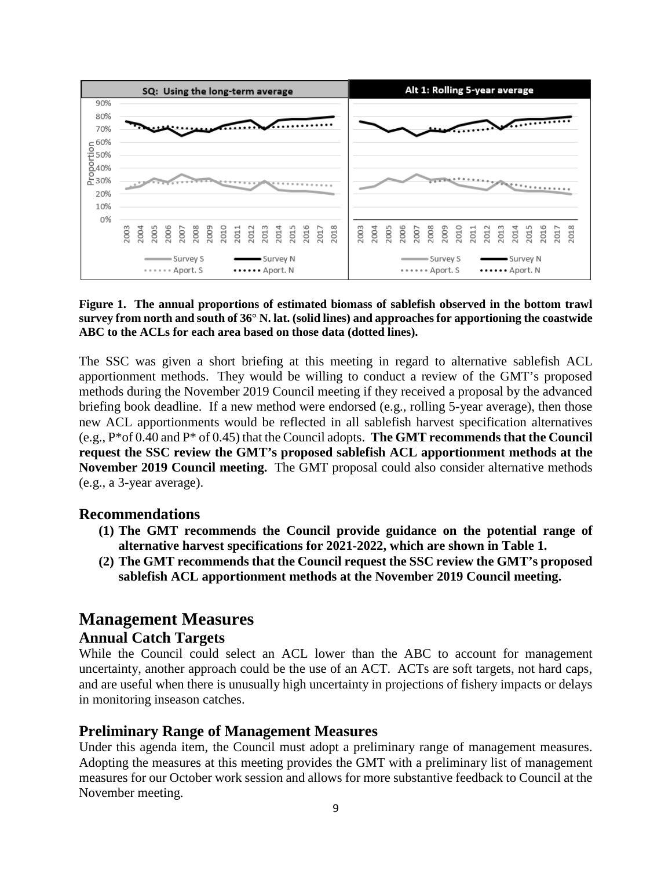

#### <span id="page-8-0"></span>**Figure 1. The annual proportions of estimated biomass of sablefish observed in the bottom trawl survey from north and south of 36° N. lat. (solid lines) and approaches for apportioning the coastwide ABC to the ACLs for each area based on those data (dotted lines).**

The SSC was given a short briefing at this meeting in regard to alternative sablefish ACL apportionment methods. They would be willing to conduct a review of the GMT's proposed methods during the November 2019 Council meeting if they received a proposal by the advanced briefing book deadline. If a new method were endorsed (e.g., rolling 5-year average), then those new ACL apportionments would be reflected in all sablefish harvest specification alternatives (e.g., P\*of 0.40 and P\* of 0.45) that the Council adopts. **The GMT recommends that the Council request the SSC review the GMT's proposed sablefish ACL apportionment methods at the November 2019 Council meeting.** The GMT proposal could also consider alternative methods (e.g., a 3-year average).

### **Recommendations**

- **(1) The GMT recommends the Council provide guidance on the potential range of alternative harvest specifications for 2021-2022, which are shown in [Table 1.](#page-1-0)**
- **(2) The GMT recommends that the Council request the SSC review the GMT's proposed sablefish ACL apportionment methods at the November 2019 Council meeting.**

# **Management Measures**

### **Annual Catch Targets**

While the Council could select an ACL lower than the ABC to account for management uncertainty, another approach could be the use of an ACT. ACTs are soft targets, not hard caps, and are useful when there is unusually high uncertainty in projections of fishery impacts or delays in monitoring inseason catches.

### **Preliminary Range of Management Measures**

Under this agenda item, the Council must adopt a preliminary range of management measures. Adopting the measures at this meeting provides the GMT with a preliminary list of management measures for our October work session and allows for more substantive feedback to Council at the November meeting.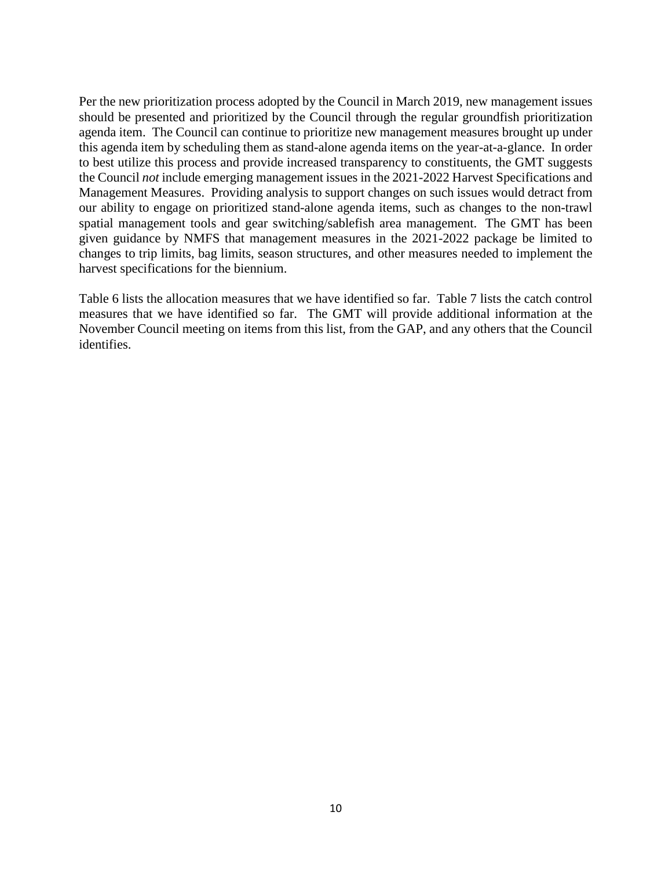Per the new prioritization process adopted by the Council in March 2019, new management issues should be presented and prioritized by the Council through the regular groundfish prioritization agenda item. The Council can continue to prioritize new management measures brought up under this agenda item by scheduling them as stand-alone agenda items on the year-at-a-glance. In order to best utilize this process and provide increased transparency to constituents, the GMT suggests the Council *not* include emerging management issues in the 2021-2022 Harvest Specifications and Management Measures. Providing analysis to support changes on such issues would detract from our ability to engage on prioritized stand-alone agenda items, such as changes to the non-trawl spatial management tools and gear switching/sablefish area management. The GMT has been given guidance by NMFS that management measures in the 2021-2022 package be limited to changes to trip limits, bag limits, season structures, and other measures needed to implement the harvest specifications for the biennium.

[Table 6](#page-10-0) lists the allocation measures that we have identified so far. [Table 7](#page-11-0) lists the catch control measures that we have identified so far. The GMT will provide additional information at the November Council meeting on items from this list, from the GAP, and any others that the Council identifies.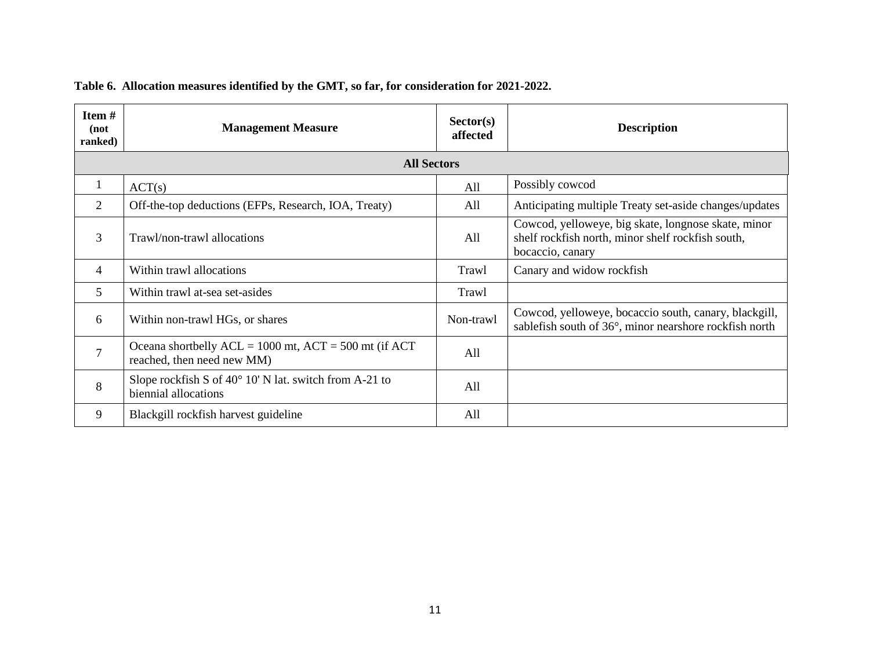<span id="page-10-0"></span>

| Item#<br>(not<br>ranked) | <b>Management Measure</b>                                                                 | Sector(s)<br>affected | <b>Description</b>                                                                                                           |
|--------------------------|-------------------------------------------------------------------------------------------|-----------------------|------------------------------------------------------------------------------------------------------------------------------|
|                          | <b>All Sectors</b>                                                                        |                       |                                                                                                                              |
| 1                        | ACT(s)                                                                                    | All                   | Possibly cowcod                                                                                                              |
| 2                        | Off-the-top deductions (EFPs, Research, IOA, Treaty)                                      | All                   | Anticipating multiple Treaty set-aside changes/updates                                                                       |
| 3                        | Trawl/non-trawl allocations                                                               | All                   | Cowcod, yelloweye, big skate, longnose skate, minor<br>shelf rockfish north, minor shelf rockfish south,<br>bocaccio, canary |
| 4                        | Within trawl allocations                                                                  | Trawl                 | Canary and widow rockfish                                                                                                    |
| 5                        | Within trawl at-sea set-asides                                                            | Trawl                 |                                                                                                                              |
| 6                        | Within non-trawl HGs, or shares                                                           | Non-trawl             | Cowcod, yelloweye, bocaccio south, canary, blackgill,<br>sablefish south of 36°, minor nearshore rockfish north              |
| $\overline{7}$           | Oceana shortbelly $ACL = 1000$ mt, $ACT = 500$ mt (if $ACT$<br>reached, then need new MM) | All                   |                                                                                                                              |
| 8                        | Slope rockfish S of $40^{\circ}$ 10' N lat. switch from A-21 to<br>biennial allocations   | All                   |                                                                                                                              |
| 9                        | Blackgill rockfish harvest guideline                                                      | All                   |                                                                                                                              |

# **Table 6. Allocation measures identified by the GMT, so far, for consideration for 2021-2022.**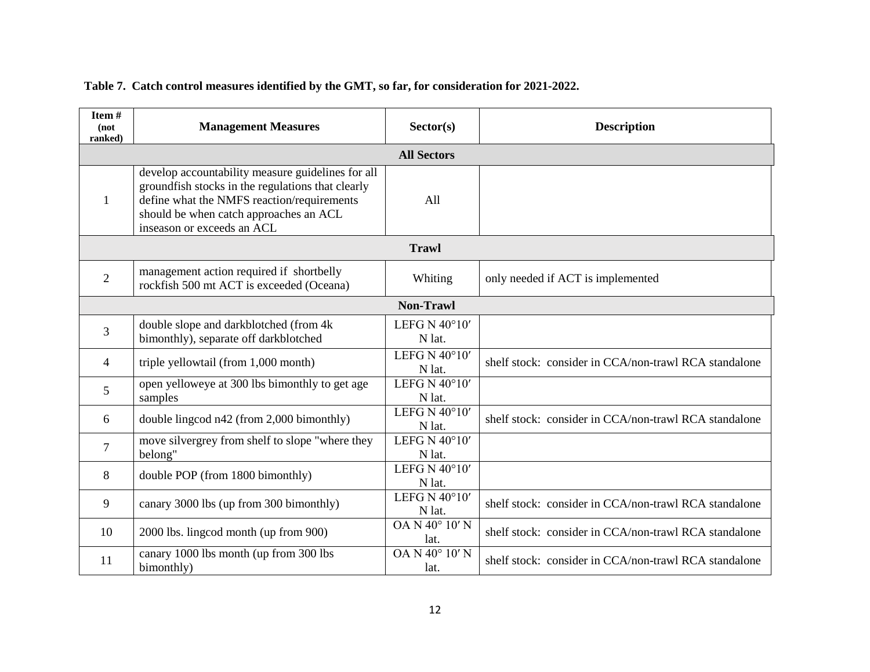### **Table 7. Catch control measures identified by the GMT, so far, for consideration for 2021-2022.**

<span id="page-11-0"></span>

| Item#<br>(not<br>ranked) | <b>Management Measures</b>                                                                                                                                                                                                   | Sector(s)                           | <b>Description</b>                                    |
|--------------------------|------------------------------------------------------------------------------------------------------------------------------------------------------------------------------------------------------------------------------|-------------------------------------|-------------------------------------------------------|
|                          |                                                                                                                                                                                                                              | <b>All Sectors</b>                  |                                                       |
| 1                        | develop accountability measure guidelines for all<br>groundfish stocks in the regulations that clearly<br>define what the NMFS reaction/requirements<br>should be when catch approaches an ACL<br>inseason or exceeds an ACL | All                                 |                                                       |
|                          |                                                                                                                                                                                                                              | <b>Trawl</b>                        |                                                       |
| $\overline{2}$           | management action required if shortbelly<br>rockfish 500 mt ACT is exceeded (Oceana)                                                                                                                                         | Whiting                             | only needed if ACT is implemented                     |
|                          |                                                                                                                                                                                                                              | <b>Non-Trawl</b>                    |                                                       |
| 3                        | double slope and darkblotched (from 4k)<br>bimonthly), separate off darkblotched                                                                                                                                             | LEFG N $40^{\circ}10'$<br>N lat.    |                                                       |
| $\overline{4}$           | triple yellowtail (from 1,000 month)                                                                                                                                                                                         | LEFG N 40°10'<br>N lat.             | shelf stock: consider in CCA/non-trawl RCA standalone |
| 5                        | open yelloweye at 300 lbs bimonthly to get age<br>samples                                                                                                                                                                    | LEFG N $40^{\circ}10'$<br>N lat.    |                                                       |
| 6                        | double lingcod n42 (from 2,000 bimonthly)                                                                                                                                                                                    | LEFG N 40°10'<br>N lat.             | shelf stock: consider in CCA/non-trawl RCA standalone |
| 7                        | move silvergrey from shelf to slope "where they<br>belong"                                                                                                                                                                   | LEFG N $40^{\circ}10'$<br>N lat.    |                                                       |
| 8                        | double POP (from 1800 bimonthly)                                                                                                                                                                                             | LEFG N $40^{\circ}10'$<br>N lat.    |                                                       |
| 9                        | canary 3000 lbs (up from 300 bimonthly)                                                                                                                                                                                      | LEFG N $40^{\circ}10'$<br>N lat.    | shelf stock: consider in CCA/non-trawl RCA standalone |
| 10                       | 2000 lbs. lingcod month (up from 900)                                                                                                                                                                                        | $\overline{OA}$ N 40° 10' N<br>lat. | shelf stock: consider in CCA/non-trawl RCA standalone |
| 11                       | canary 1000 lbs month (up from 300 lbs<br>bimonthly)                                                                                                                                                                         | OA N 40° 10' N<br>lat.              | shelf stock: consider in CCA/non-trawl RCA standalone |